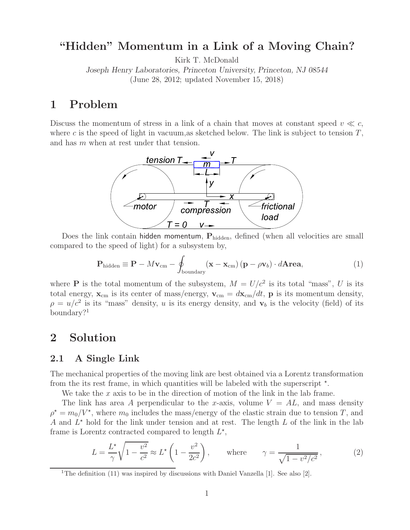## **"Hidden" Momentum in a Link of a Moving Chain?**

Kirk T. McDonald

*Joseph Henry Laboratories, Princeton University, Princeton, NJ 08544* (June 28, 2012; updated November 15, 2018)

## **1 Problem**

Discuss the momentum of stress in a link of a chain that moves at constant speed  $v \ll c$ , where c is the speed of light in vacuum, as sketched below. The link is subject to tension  $T$ , and has m when at rest under that tension.



Does the link contain hidden momentum,  $P_{hidden}$ , defined (when all velocities are small compared to the speed of light) for a subsystem by,

$$
\mathbf{P}_{\text{hidden}} \equiv \mathbf{P} - M\mathbf{v}_{\text{cm}} - \oint_{\text{boundary}} (\mathbf{x} - \mathbf{x}_{\text{cm}}) (\mathbf{p} - \rho \mathbf{v}_b) \cdot d\mathbf{Area}, \tag{1}
$$

where **P** is the total momentum of the subsystem,  $M = U/c^2$  is its total "mass", U is its total energy,  $\mathbf{x}_{cm}$  is its center of mass/energy,  $\mathbf{v}_{cm} = d\mathbf{x}_{cm}/dt$ , **p** is its momentum density,  $\rho = u/c^2$  is its "mass" density, u is its energy density, and  $\mathbf{v}_b$  is the velocity (field) of its boundary?<sup>1</sup>

## **2 Solution**

### **2.1 A Single Link**

The mechanical properties of the moving link are best obtained via a Lorentz transformation from the its rest frame, in which quantities will be labeled with the superscript  $*$ .

We take the  $x$  axis to be in the direction of motion of the link in the lab frame.

The link has area A perpendicular to the x-axis, volume  $V = AL$ , and mass density  $\rho^* = m_0/V^*$ , where  $m_0$  includes the mass/energy of the elastic strain due to tension T, and A and  $L^*$  hold for the link under tension and at rest. The length L of the link in the lab frame is Lorentz contracted compared to length  $L^*$ ,

$$
L = \frac{L^*}{\gamma} \sqrt{1 - \frac{v^2}{c^2}} \approx L^* \left( 1 - \frac{v^2}{2c^2} \right), \quad \text{where} \quad \gamma = \frac{1}{\sqrt{1 - v^2/c^2}}, \quad (2)
$$

<sup>&</sup>lt;sup>1</sup>The definition (11) was inspired by discussions with Daniel Vanzella [1]. See also [2].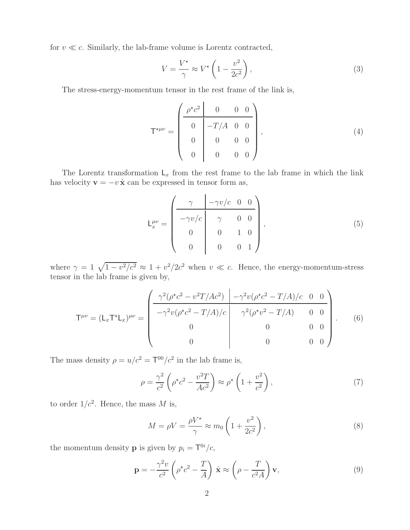for  $v \ll c$ . Similarly, the lab-frame volume is Lorentz contracted,

$$
V = \frac{V^{\star}}{\gamma} \approx V^{\star} \left( 1 - \frac{v^2}{2c^2} \right),\tag{3}
$$

The stress-energy-momentum tensor in the rest frame of the link is,

$$
\mathsf{T}^{\star\mu\nu} = \begin{pmatrix} \rho^{\star}c^2 & 0 & 0 & 0 \\ 0 & -T/A & 0 & 0 \\ 0 & 0 & 0 & 0 \\ 0 & 0 & 0 & 0 \end{pmatrix}, \tag{4}
$$

The Lorentz transformation  $L_x$  from the rest frame to the lab frame in which the link has velocity **v** =  $-v \hat{\mathbf{x}}$  can be expressed in tensor form as,

$$
L_x^{\mu\nu} = \begin{pmatrix} \gamma & -\gamma v/c & 0 & 0 \\ -\gamma v/c & \gamma & 0 & 0 \\ 0 & 0 & 1 & 0 \\ 0 & 0 & 0 & 1 \end{pmatrix},
$$
(5)

where  $\gamma = 1 \sqrt{1 - v^2/c^2} \approx 1 + v^2/2c^2$  when  $v \ll c$ . Hence, the energy-momentum-stress tensor in the lab frame is given by,

$$
\mathsf{T}^{\mu\nu} = (\mathsf{L}_x \mathsf{T}^{\star} \mathsf{L}_x)^{\mu\nu} = \begin{pmatrix} \frac{\gamma^2 (\rho^{\star} c^2 - v^2 T/A c^2)}{-\gamma^2 v (\rho^{\star} c^2 - T/A)/c} & -\gamma^2 v (\rho^{\star} c^2 - T/A)/c & 0 & 0\\ -\gamma^2 v (\rho^{\star} c^2 - T/A)/c & \gamma^2 (\rho^{\star} v^2 - T/A) & 0 & 0\\ 0 & 0 & 0 & 0\\ 0 & 0 & 0 & 0 \end{pmatrix} . \tag{6}
$$

The mass density  $\rho = u/c^2 = T^{00}/c^2$  in the lab frame is,

$$
\rho = \frac{\gamma^2}{c^2} \left( \rho^{\star} c^2 - \frac{v^2 T}{Ac^2} \right) \approx \rho^{\star} \left( 1 + \frac{v^2}{c^2} \right),\tag{7}
$$

to order  $1/c^2$ . Hence, the mass M is,

$$
M = \rho V = \frac{\rho V^*}{\gamma} \approx m_0 \left( 1 + \frac{v^2}{2c^2} \right),\tag{8}
$$

the momentum density **p** is given by  $p_i = T^{0i}/c$ ,

$$
\mathbf{p} = -\frac{\gamma^2 v}{c^2} \left( \rho^* c^2 - \frac{T}{A} \right) \hat{\mathbf{x}} \approx \left( \rho - \frac{T}{c^2 A} \right) \mathbf{v},\tag{9}
$$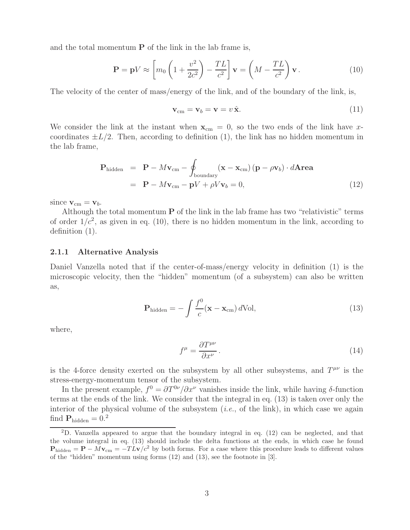and the total momentum  $P$  of the link in the lab frame is,

$$
\mathbf{P} = \mathbf{p}V \approx \left[ m_0 \left( 1 + \frac{v^2}{2c^2} \right) - \frac{TL}{c^2} \right] \mathbf{v} = \left( M - \frac{TL}{c^2} \right) \mathbf{v} \,. \tag{10}
$$

The velocity of the center of mass/energy of the link, and of the boundary of the link, is,

$$
\mathbf{v}_{\rm cm} = \mathbf{v}_b = \mathbf{v} = v \,\hat{\mathbf{x}}.\tag{11}
$$

We consider the link at the instant when  $\mathbf{x}_{cm} = 0$ , so the two ends of the link have xcoordinates  $\pm L/2$ . Then, according to definition (1), the link has no hidden momentum in the lab frame,

$$
\mathbf{P}_{\text{hidden}} = \mathbf{P} - M\mathbf{v}_{\text{cm}} - \oint_{\text{boundary}} (\mathbf{x} - \mathbf{x}_{\text{cm}}) (\mathbf{p} - \rho \mathbf{v}_b) \cdot d\mathbf{Area}
$$
  
=  $\mathbf{P} - M\mathbf{v}_{\text{cm}} - \mathbf{p}V + \rho V\mathbf{v}_b = 0,$  (12)

since  $\mathbf{v}_{\text{cm}} = \mathbf{v}_b$ .

Although the total momentum **P** of the link in the lab frame has two "relativistic" terms of order  $1/c^2$ , as given in eq. (10), there is no hidden momentum in the link, according to definition (1).

#### **2.1.1 Alternative Analysis**

Daniel Vanzella noted that if the center-of-mass/energy velocity in definition (1) is the microscopic velocity, then the "hidden" momentum (of a subsystem) can also be written as,

$$
\mathbf{P}_{\text{hidden}} = -\int \frac{f^0}{c} (\mathbf{x} - \mathbf{x}_{\text{cm}}) \, d\text{Vol},\tag{13}
$$

where,

$$
f^{\mu} = \frac{\partial T^{\mu\nu}}{\partial x^{\nu}}.
$$
\n(14)

is the 4-force density exerted on the subsystem by all other subsystems, and  $T^{\mu\nu}$  is the stress-energy-momentum tensor of the subsystem.

In the present example,  $f^0 = \partial T^{0\nu}/\partial x^{\nu}$  vanishes inside the link, while having  $\delta$ -function terms at the ends of the link. We consider that the integral in eq. (13) is taken over only the interior of the physical volume of the subsystem (*i.e.*, of the link), in which case we again find  $\mathbf{P}_{\text{hidden}} = 0.2$ 

<sup>2</sup>D. Vanzella appeared to argue that the boundary integral in eq. (12) can be neglected, and that the volume integral in eq. (13) should include the delta functions at the ends, in which case he found  $P_{\text{hidden}} = P - Mv_{\text{cm}} = -TLv/c^2$  by both forms. For a case where this procedure leads to different values of the "hidden" momentum using forms (12) and (13), see the footnote in [3].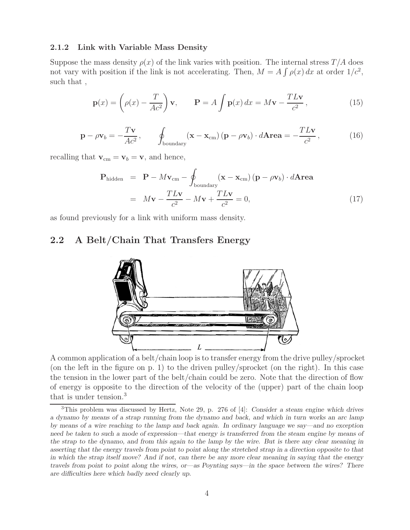#### **2.1.2 Link with Variable Mass Density**

Suppose the mass density  $\rho(x)$  of the link varies with position. The internal stress  $T/A$  does not vary with position if the link is not accelerating. Then,  $M = A \int \rho(x) dx$  at order  $1/c^2$ , such that ,

$$
\mathbf{p}(x) = \left(\rho(x) - \frac{T}{Ac^2}\right)\mathbf{v}, \qquad \mathbf{P} = A \int \mathbf{p}(x) dx = M\mathbf{v} - \frac{T L \mathbf{v}}{c^2}, \tag{15}
$$

$$
\mathbf{p} - \rho \mathbf{v}_b = -\frac{T\mathbf{v}}{Ac^2}, \qquad \oint_{\text{boundary}} (\mathbf{x} - \mathbf{x}_{cm}) (\mathbf{p} - \rho \mathbf{v}_b) \cdot d\mathbf{Area} = -\frac{T L \mathbf{v}}{c^2}, \qquad (16)
$$

recalling that  $\mathbf{v}_{cm} = \mathbf{v}_b = \mathbf{v}$ , and hence,

$$
\mathbf{P}_{\text{hidden}} = \mathbf{P} - M\mathbf{v}_{\text{cm}} - \oint_{\text{boundary}} (\mathbf{x} - \mathbf{x}_{\text{cm}}) (\mathbf{p} - \rho \mathbf{v}_b) \cdot d\mathbf{Area}
$$

$$
= M\mathbf{v} - \frac{TL\mathbf{v}}{c^2} - M\mathbf{v} + \frac{TL\mathbf{v}}{c^2} = 0,
$$
(17)

as found previously for a link with uniform mass density.

### **2.2 A Belt/Chain That Transfers Energy**



A common application of a belt/chain loop is to transfer energy from the drive pulley/sprocket (on the left in the figure on p. 1) to the driven pulley/sprocket (on the right). In this case the tension in the lower part of the belt/chain could be zero. Note that the direction of flow of energy is opposite to the direction of the velocity of the (upper) part of the chain loop that is under tension.<sup>3</sup>

<sup>3</sup>This problem was discussed by Hertz, Note 29, p. 276 of [4]: *Consider a steam engine which drives a dynamo by means of a strap running from the dynamo and back, and which in turn works an arc lamp by means of a wire reaching to the lamp and back again. In ordinary language we say—and no exception need be taken to such a mode of expression—that energy is transferred from the steam engine by means of the strap to the dynamo, and from this again to the lamp by the wire. But is there any clear meaning in asserting that the energy travels from point to point along the stretched strap in a direction opposite to that in which the strap itself move? And if not, can there be any more clear meaning in saying that the energy travels from point to point along the wires, or—as Poynting says—in the space between the wires? There are difficulties here which badly need clearly up.*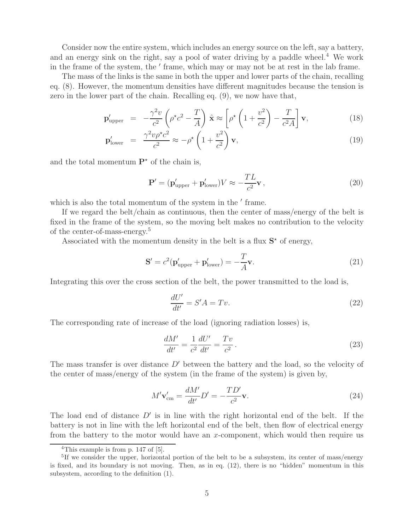Consider now the entire system, which includes an energy source on the left, say a battery, and an energy sink on the right, say a pool of water driving by a paddle wheel.<sup>4</sup> We work in the frame of the system, the ' frame, which may or may not be at rest in the lab frame.

The mass of the links is the same in both the upper and lower parts of the chain, recalling eq. (8). However, the momentum densities have different magnitudes because the tension is zero in the lower part of the chain. Recalling eq. (9), we now have that,

$$
\mathbf{p}_{\text{upper}}' = -\frac{\gamma^2 v}{c^2} \left( \rho^{\star} c^2 - \frac{T}{A} \right) \hat{\mathbf{x}} \approx \left[ \rho^{\star} \left( 1 + \frac{v^2}{c^2} \right) - \frac{T}{c^2 A} \right] \mathbf{v}, \tag{18}
$$

$$
\mathbf{p}'_{\text{lower}} = \frac{\gamma^2 v \rho^{\star} c^2}{c^2} \approx -\rho^{\star} \left( 1 + \frac{v^2}{c^2} \right) \mathbf{v},\tag{19}
$$

and the total momentum  $\mathbf{P}^*$  of the chain is,

$$
\mathbf{P}' = (\mathbf{p}'_{\text{upper}} + \mathbf{p}'_{\text{lower}}) V \approx -\frac{TL}{c^2} \mathbf{v},\tag{20}
$$

which is also the total momentum of the system in the ' frame.

If we regard the belt/chain as continuous, then the center of mass/energy of the belt is fixed in the frame of the system, so the moving belt makes no contribution to the velocity of the center-of-mass-energy.<sup>5</sup>

Associated with the momentum density in the belt is a flux  $S^*$  of energy,

$$
\mathbf{S}' = c^2 (\mathbf{p}'_{\text{upper}} + \mathbf{p}'_{\text{lower}}) = -\frac{T}{A} \mathbf{v}.
$$
 (21)

Integrating this over the cross section of the belt, the power transmitted to the load is,

$$
\frac{dU'}{dt'} = S'A = Tv.\tag{22}
$$

The corresponding rate of increase of the load (ignoring radiation losses) is,

$$
\frac{dM'}{dt'} = \frac{1}{c^2} \frac{dU'}{dt'} = \frac{Tv}{c^2}.
$$
\n
$$
(23)
$$

The mass transfer is over distance  $D'$  between the battery and the load, so the velocity of the center of mass/energy of the system (in the frame of the system) is given by,

$$
M'\mathbf{v}_{\rm cm}' = \frac{dM'}{dt'}D' = -\frac{TD'}{c^2}\mathbf{v}.
$$
\n(24)

The load end of distance  $D'$  is in line with the right horizontal end of the belt. If the battery is not in line with the left horizontal end of the belt, then flow of electrical energy from the battery to the motor would have an x-component, which would then require us

<sup>&</sup>lt;sup>4</sup>This example is from  $\overline{p. 147 \text{ of } [5]}$ .

<sup>&</sup>lt;sup>5</sup>If we consider the upper, horizontal portion of the belt to be a subsystem, its center of mass/energy is fixed, and its boundary is not moving. Then, as in eq. (12), there is no "hidden" momentum in this subsystem, according to the definition (1).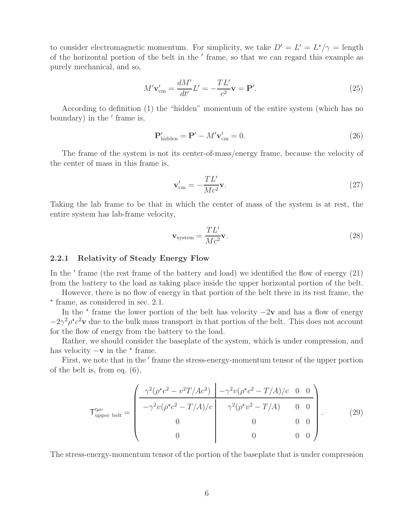to consider electromagnetic momentum. For simplicity, we take  $D' = L' = L^*/\gamma = \text{length}$ of the horizontal portion of the belt in the  $'$  frame, so that we can regard this example as purely mechanical, and so,

$$
M'\mathbf{v}_{\rm cm}' = \frac{dM'}{dt'}L' = -\frac{TL'}{c^2}\mathbf{v} = \mathbf{P}'.\tag{25}
$$

According to definition (1) the "hidden" momentum of the entire system (which has no boundary) in the ' frame is,

$$
\mathbf{P}_{\text{hidden}}' = \mathbf{P}' - M'\mathbf{v}_{\text{cm}}' = 0. \tag{26}
$$

The frame of the system is not its center-of-mass/energy frame, because the velocity of the center of mass in this frame is,

$$
\mathbf{v}_{\rm cm}' = -\frac{TL'}{Mc^2}\mathbf{v}.\tag{27}
$$

Taking the lab frame to be that in which the center of mass of the system is at rest, the entire system has lab-frame velocity,

$$
\mathbf{v}_{\text{system}} = \frac{TL'}{Mc^2} \mathbf{v}.
$$
 (28)

#### **2.2.1 Relativity of Steady Energy Flow**

In the  $'$  frame (the rest frame of the battery and load) we identified the flow of energy  $(21)$ from the battery to the load as taking place inside the upper horizontal portion of the belt.

However, there is no flow of energy in that portion of the belt there in its rest frame, the - frame, as considered in sec. 2.1.

In the  $\star$  frame the lower portion of the belt has velocity  $-2v$  and has a flow of energy  $-2\gamma^2 \rho^* c^2 \mathbf{v}$  due to the bulk mass transport in that portion of the belt. This does not account for the flow of energy from the battery to the load.

Rather, we should consider the baseplate of the system, which is under compression, and has velocity  $-\mathbf{v}$  in the  $\star$  frame.

First, we note that in the ' frame the stress-energy-momentum tensor of the upper portion of the belt is, from eq. (6),

$$
\mathsf{T}^{\mu\nu}_{\text{upper belt}} = \begin{pmatrix} \frac{\gamma^2(\rho^{\star}c^2 - v^2T/Ac^2)}{-\gamma^2v(\rho^{\star}c^2 - T/A)/c} & -\gamma^2v(\rho^{\star}c^2 - T/A)/c & 0 & 0\\ -\gamma^2v(\rho^{\star}c^2 - T/A)/c & \gamma^2(\rho^{\star}v^2 - T/A) & 0 & 0\\ 0 & 0 & 0 & 0\\ 0 & 0 & 0 & 0 \end{pmatrix} . \tag{29}
$$

The stress-energy-momentum tensor of the portion of the baseplate that is under compression